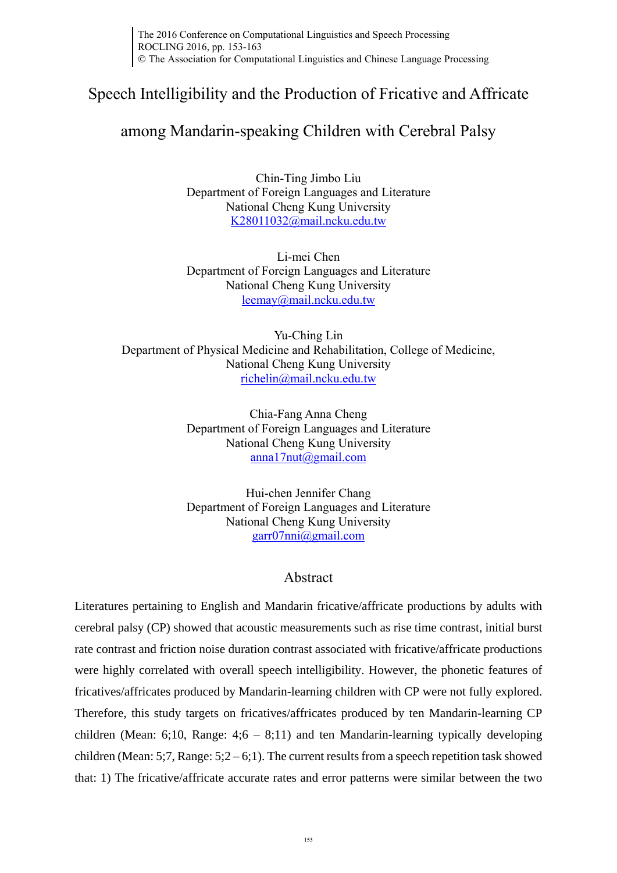# Speech Intelligibility and the Production of Fricative and Affricate

# among Mandarin-speaking Children with Cerebral Palsy

Chin-Ting Jimbo Liu Department of Foreign Languages and Literature National Cheng Kung University [K28011032@mail.ncku.edu.tw](mailto:K28011032@mail.ncku.edu.tw)

Li-mei Chen Department of Foreign Languages and Literature National Cheng Kung University [leemay@mail.ncku.edu.tw](mailto:leemay@mail.ncku.edu.tw)

Yu-Ching Lin Department of Physical Medicine and Rehabilitation, College of Medicine, National Cheng Kung University [richelin@mail.ncku.edu.tw](mailto:richelin@mail.ncku.edu.tw)

> Chia-Fang Anna Cheng Department of Foreign Languages and Literature National Cheng Kung University [anna17nut@gmail.com](mailto:anna17nut@gmail.com)

> Hui-chen Jennifer Chang Department of Foreign Languages and Literature National Cheng Kung University [garr07nni@gmail.com](mailto:garr07nni@gmail.com)

## Abstract

Literatures pertaining to English and Mandarin fricative/affricate productions by adults with cerebral palsy (CP) showed that acoustic measurements such as rise time contrast, initial burst rate contrast and friction noise duration contrast associated with fricative/affricate productions were highly correlated with overall speech intelligibility. However, the phonetic features of fricatives/affricates produced by Mandarin-learning children with CP were not fully explored. Therefore, this study targets on fricatives/affricates produced by ten Mandarin-learning CP children (Mean: 6;10, Range: 4;6 – 8;11) and ten Mandarin-learning typically developing children (Mean: 5;7, Range:  $5:2 - 6:1$ ). The current results from a speech repetition task showed that: 1) The fricative/affricate accurate rates and error patterns were similar between the two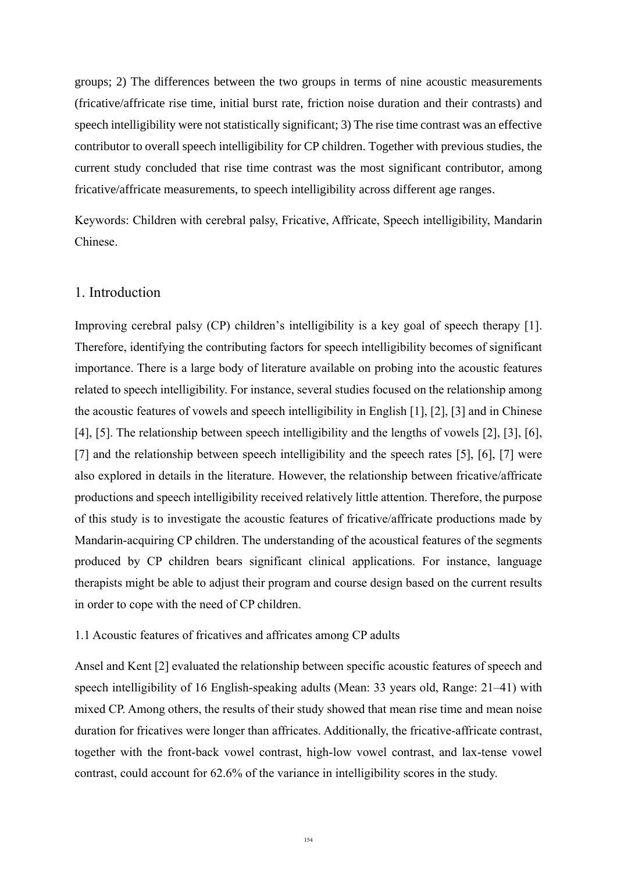groups; 2) The differences between the two groups in terms of nine acoustic measurements (fricative/affricate rise time, initial burst rate, friction noise duration and their contrasts) and speech intelligibility were not statistically significant; 3) The rise time contrast was an effective contributor to overall speech intelligibility for CP children. Together with previous studies, the current study concluded that rise time contrast was the most significant contributor, among fricative/affricate measurements, to speech intelligibility across different age ranges.

Keywords: Children with cerebral palsy, Fricative, Affricate, Speech intelligibility, Mandarin Chinese.

## 1. Introduction

Improving cerebral palsy (CP) children's intelligibility is a key goal of speech therapy [1]. Therefore, identifying the contributing factors for speech intelligibility becomes of significant importance. There is a large body of literature available on probing into the acoustic features related to speech intelligibility. For instance, several studies focused on the relationship among the acoustic features of vowels and speech intelligibility in English [1], [2], [3] and in Chinese [4], [5]. The relationship between speech intelligibility and the lengths of vowels [2], [3], [6], [7] and the relationship between speech intelligibility and the speech rates [5], [6], [7] were also explored in details in the literature. However, the relationship between fricative/affricate productions and speech intelligibility received relatively little attention. Therefore, the purpose of this study is to investigate the acoustic features of fricative/affricate productions made by Mandarin-acquiring CP children. The understanding of the acoustical features of the segments produced by CP children bears significant clinical applications. For instance, language therapists might be able to adjust their program and course design based on the current results in order to cope with the need of CP children.

#### 1.1 Acoustic features of fricatives and affricates among CP adults

Ansel and Kent [2] evaluated the relationship between specific acoustic features of speech and speech intelligibility of 16 English-speaking adults (Mean: 33 years old, Range: 21–41) with mixed CP. Among others, the results of their study showed that mean rise time and mean noise duration for fricatives were longer than affricates. Additionally, the fricative-affricate contrast, together with the front-back vowel contrast, high-low vowel contrast, and lax-tense vowel contrast, could account for 62.6% of the variance in intelligibility scores in the study.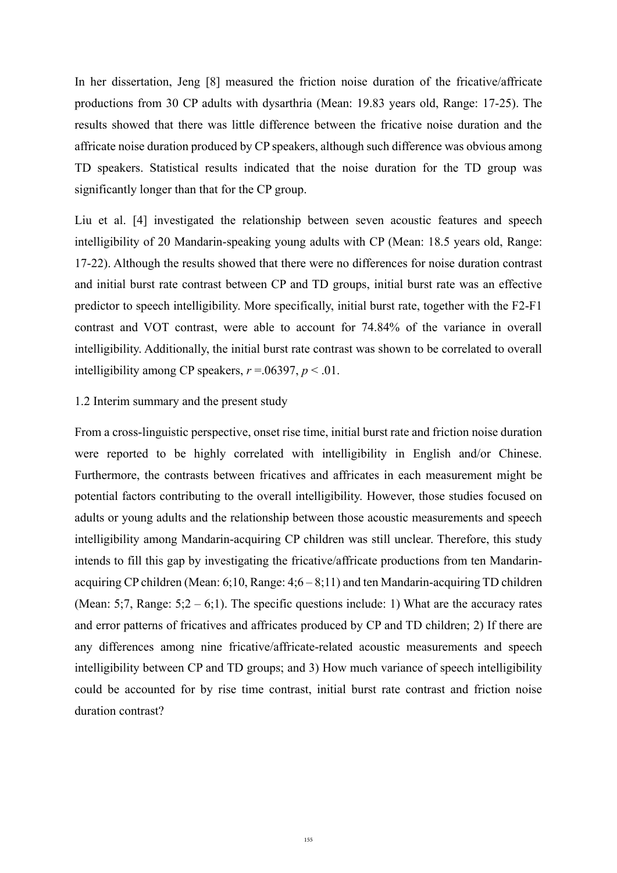In her dissertation, Jeng [8] measured the friction noise duration of the fricative/affricate productions from 30 CP adults with dysarthria (Mean: 19.83 years old, Range: 17-25). The results showed that there was little difference between the fricative noise duration and the affricate noise duration produced by CP speakers, although such difference was obvious among TD speakers. Statistical results indicated that the noise duration for the TD group was significantly longer than that for the CP group.

Liu et al. [4] investigated the relationship between seven acoustic features and speech intelligibility of 20 Mandarin-speaking young adults with CP (Mean: 18.5 years old, Range: 17-22). Although the results showed that there were no differences for noise duration contrast and initial burst rate contrast between CP and TD groups, initial burst rate was an effective predictor to speech intelligibility. More specifically, initial burst rate, together with the F2-F1 contrast and VOT contrast, were able to account for 74.84% of the variance in overall intelligibility. Additionally, the initial burst rate contrast was shown to be correlated to overall intelligibility among CP speakers,  $r = .06397$ ,  $p < .01$ .

#### 1.2 Interim summary and the present study

From a cross-linguistic perspective, onset rise time, initial burst rate and friction noise duration were reported to be highly correlated with intelligibility in English and/or Chinese. Furthermore, the contrasts between fricatives and affricates in each measurement might be potential factors contributing to the overall intelligibility. However, those studies focused on adults or young adults and the relationship between those acoustic measurements and speech intelligibility among Mandarin-acquiring CP children was still unclear. Therefore, this study intends to fill this gap by investigating the fricative/affricate productions from ten Mandarinacquiring CP children (Mean: 6;10, Range: 4;6 – 8;11) and ten Mandarin-acquiring TD children (Mean: 5;7, Range:  $5;2 - 6;1$ ). The specific questions include: 1) What are the accuracy rates and error patterns of fricatives and affricates produced by CP and TD children; 2) If there are any differences among nine fricative/affricate-related acoustic measurements and speech intelligibility between CP and TD groups; and 3) How much variance of speech intelligibility could be accounted for by rise time contrast, initial burst rate contrast and friction noise duration contrast?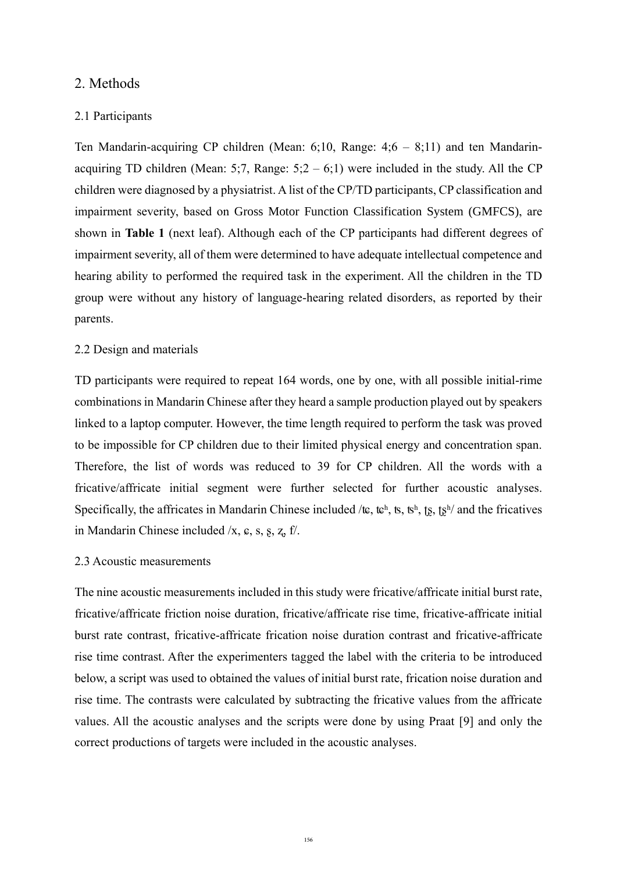### 2. Methods

#### 2.1 Participants

Ten Mandarin-acquiring CP children (Mean: 6;10, Range: 4;6 – 8;11) and ten Mandarinacquiring TD children (Mean: 5;7, Range:  $5:2 - 6:1$ ) were included in the study. All the CP children were diagnosed by a physiatrist. A list of the CP/TD participants, CP classification and impairment severity, based on Gross Motor Function Classification System (GMFCS), are shown in **Table 1** (next leaf). Although each of the CP participants had different degrees of impairment severity, all of them were determined to have adequate intellectual competence and hearing ability to performed the required task in the experiment. All the children in the TD group were without any history of language-hearing related disorders, as reported by their parents.

#### 2.2 Design and materials

TD participants were required to repeat 164 words, one by one, with all possible initial-rime combinations in Mandarin Chinese after they heard a sample production played out by speakers linked to a laptop computer. However, the time length required to perform the task was proved to be impossible for CP children due to their limited physical energy and concentration span. Therefore, the list of words was reduced to 39 for CP children. All the words with a fricative/affricate initial segment were further selected for further acoustic analyses. Specifically, the affricates in Mandarin Chinese included /tc, tch, ts, tsh,  $\{s, t\}$ ,  $\{s, t\}$  and the fricatives in Mandarin Chinese included /x, ɕ, s, ʂ, ʐ, f/.

### 2.3 Acoustic measurements

The nine acoustic measurements included in this study were fricative/affricate initial burst rate, fricative/affricate friction noise duration, fricative/affricate rise time, fricative-affricate initial burst rate contrast, fricative-affricate frication noise duration contrast and fricative-affricate rise time contrast. After the experimenters tagged the label with the criteria to be introduced below, a script was used to obtained the values of initial burst rate, frication noise duration and rise time. The contrasts were calculated by subtracting the fricative values from the affricate values. All the acoustic analyses and the scripts were done by using Praat [9] and only the correct productions of targets were included in the acoustic analyses.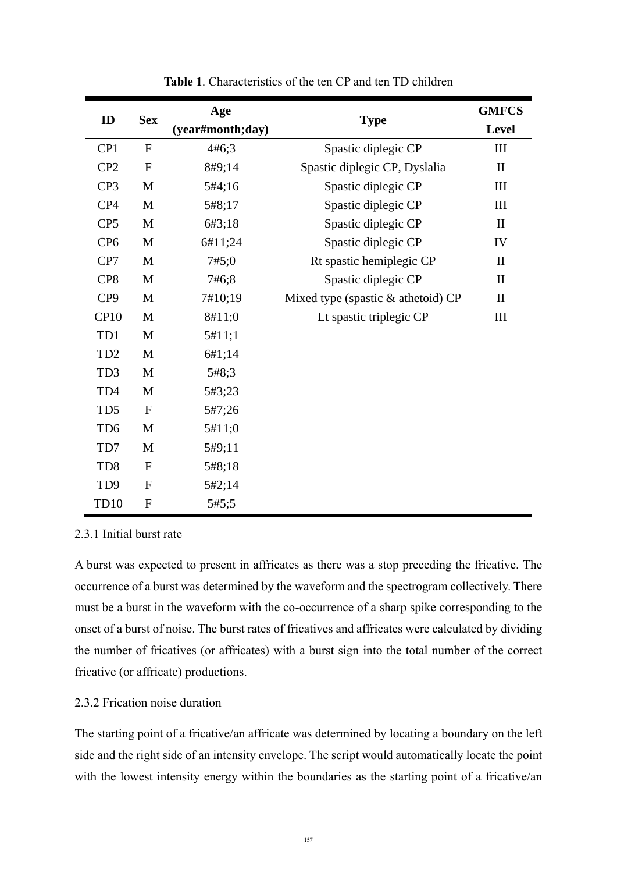| ID              | <b>Sex</b>   | Age              |                                    | <b>GMFCS</b> |
|-----------------|--------------|------------------|------------------------------------|--------------|
|                 |              | (year#month;day) | <b>Type</b>                        | Level        |
| CP1             | $\mathbf{F}$ | 4#6;3            | Spastic diplegic CP                | III          |
| CP <sub>2</sub> | $\mathbf{F}$ | 8#9;14           | Spastic diplegic CP, Dyslalia      | $\mathbf{I}$ |
| CP <sub>3</sub> | M            | 5#4;16           | Spastic diplegic CP                | III          |
| CP4             | M            | 5#8;17           | Spastic diplegic CP                | III          |
| CP <sub>5</sub> | M            | 6#3;18           | Spastic diplegic CP                | $\mathbf{I}$ |
| CP <sub>6</sub> | M            | 6#11;24          | Spastic diplegic CP                | IV           |
| CP7             | M            | 7#5:0            | Rt spastic hemiplegic CP           | $\mathbf{I}$ |
| CP <sub>8</sub> | M            | 7#6;8            | Spastic diplegic CP                | $\mathbf{I}$ |
| CP <sub>9</sub> | M            | 7#10;19          | Mixed type (spastic & athetoid) CP | $\mathbf{I}$ |
| CP10            | M            | 8#11;0           | Lt spastic triplegic CP            | III          |
| TD1             | M            | 5#11;1           |                                    |              |
| TD <sub>2</sub> | M            | 6#1;14           |                                    |              |
| TD <sub>3</sub> | M            | 5#8;3            |                                    |              |
| TD4             | M            | 5#3;23           |                                    |              |
| TD <sub>5</sub> | $\mathbf{F}$ | 5#7;26           |                                    |              |
| TD <sub>6</sub> | M            | 5#11;0           |                                    |              |
| TD7             | M            | 5#9;11           |                                    |              |
| TD <sub>8</sub> | $\mathbf{F}$ | 5#8;18           |                                    |              |
| TD <sub>9</sub> | $\mathbf{F}$ | 5#2;14           |                                    |              |
| TD10            | $\mathbf{F}$ | 5#5:5            |                                    |              |

**Table 1**. Characteristics of the ten CP and ten TD children

### 2.3.1 Initial burst rate

A burst was expected to present in affricates as there was a stop preceding the fricative. The occurrence of a burst was determined by the waveform and the spectrogram collectively. There must be a burst in the waveform with the co-occurrence of a sharp spike corresponding to the onset of a burst of noise. The burst rates of fricatives and affricates were calculated by dividing the number of fricatives (or affricates) with a burst sign into the total number of the correct fricative (or affricate) productions.

## 2.3.2 Frication noise duration

The starting point of a fricative/an affricate was determined by locating a boundary on the left side and the right side of an intensity envelope. The script would automatically locate the point with the lowest intensity energy within the boundaries as the starting point of a fricative/an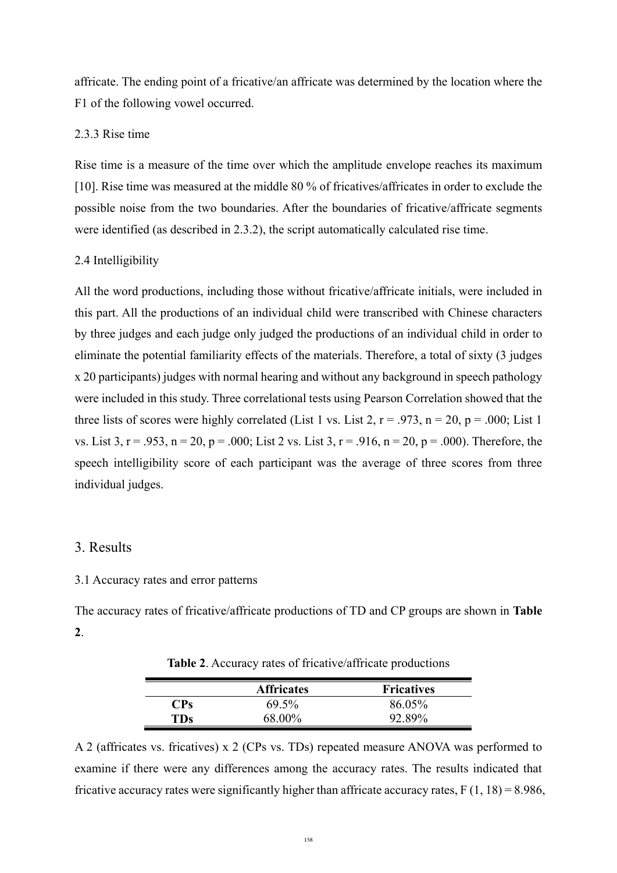affricate. The ending point of a fricative/an affricate was determined by the location where the F1 of the following vowel occurred.

#### 2.3.3 Rise time

Rise time is a measure of the time over which the amplitude envelope reaches its maximum [10]. Rise time was measured at the middle 80 % of fricatives/affricates in order to exclude the possible noise from the two boundaries. After the boundaries of fricative/affricate segments were identified (as described in 2.3.2), the script automatically calculated rise time.

#### 2.4 Intelligibility

All the word productions, including those without fricative/affricate initials, were included in this part. All the productions of an individual child were transcribed with Chinese characters by three judges and each judge only judged the productions of an individual child in order to eliminate the potential familiarity effects of the materials. Therefore, a total of sixty (3 judges x 20 participants) judges with normal hearing and without any background in speech pathology were included in this study. Three correlational tests using Pearson Correlation showed that the three lists of scores were highly correlated (List 1 vs. List 2,  $r = .973$ ,  $n = 20$ ,  $p = .000$ ; List 1 vs. List 3,  $r = .953$ ,  $n = 20$ ,  $p = .000$ ; List 2 vs. List 3,  $r = .916$ ,  $n = 20$ ,  $p = .000$ ). Therefore, the speech intelligibility score of each participant was the average of three scores from three individual judges.

## 3. Results

#### 3.1 Accuracy rates and error patterns

The accuracy rates of fricative/affricate productions of TD and CP groups are shown in **Table 2**.

|            | <b>Affricates</b> | <b>Fricatives</b> |
|------------|-------------------|-------------------|
| $\bf{CPs}$ | 69.5%             | 86.05%            |
| <b>TDs</b> | 68.00%            | 92.89%            |

**Table 2**. Accuracy rates of fricative/affricate productions

A 2 (affricates vs. fricatives) x 2 (CPs vs. TDs) repeated measure ANOVA was performed to examine if there were any differences among the accuracy rates. The results indicated that fricative accuracy rates were significantly higher than affricate accuracy rates,  $F(1, 18) = 8.986$ ,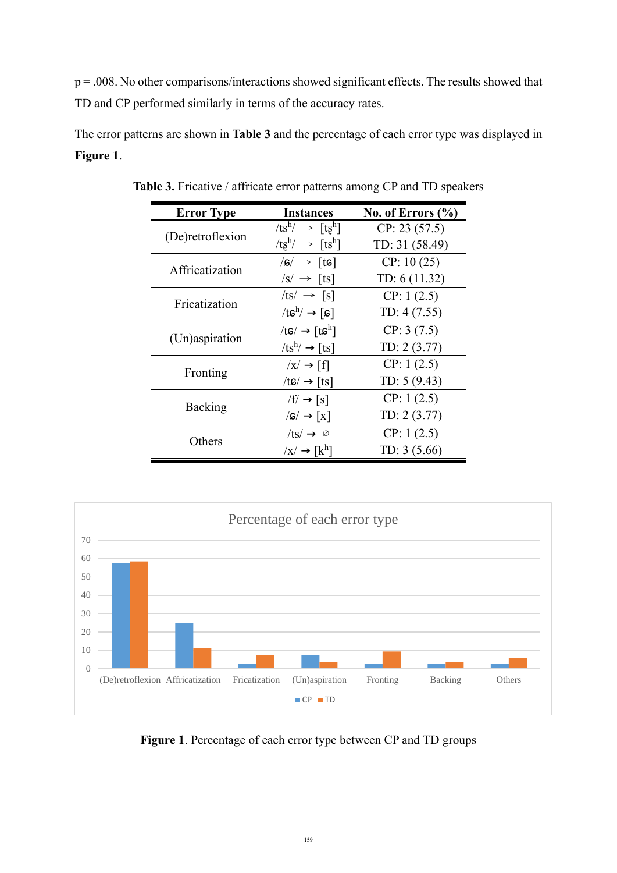$p = 0.008$ . No other comparisons/interactions showed significant effects. The results showed that TD and CP performed similarly in terms of the accuracy rates.

The error patterns are shown in **Table 3** and the percentage of each error type was displayed in **Figure 1**.

| <b>Error Type</b> | Instances                                       | No. of Errors $(\% )$ |
|-------------------|-------------------------------------------------|-----------------------|
|                   | $/ts^h$ / $\rightarrow$ $[ts^h]$                | CP: 23(57.5)          |
| (De) retroflexion | $/ts^h$ / $\rightarrow$ $[ts^h]$                | TD: 31 (58.49)        |
| Affricatization   | $/s' \rightarrow [ts]$                          | CP: 10(25)            |
|                   | $/s' \rightarrow [ts]$                          | TD: 6 (11.32)         |
| Fricatization     | $ ts  \rightarrow [s]$                          | CP: 1(2.5)            |
|                   | $/t\mathfrak{s}^h$ / $\rightarrow$ [s]          | TD: $4(7.55)$         |
|                   | /tɕ/ $\rightarrow$ [tɕ <sup>h</sup> ]           | CP: 3(7.5)            |
| (Un)aspiration    | $/ts^h$ $\rightarrow$ [ts]                      | TD: 2 (3.77)          |
|                   | $\overline{x}$ $\rightarrow$ [f]                | CP: 1(2.5)            |
| Fronting          | /tɕ/ $\rightarrow$ [ts]                         | TD: $5(9.43)$         |
|                   | $/f' \rightarrow [s]$                           | CP: 1(2.5)            |
| Backing           | $\sqrt{s}/\rightarrow \lceil x \rceil$          | TD: 2 (3.77)          |
|                   | $/ts' \rightarrow \emptyset$                    | CP: 1(2.5)            |
| Others            | $\overline{X}$ $\rightarrow$ $\overline{[k^h]}$ | TD: $3(5.66)$         |

**Table 3.** Fricative / affricate error patterns among CP and TD speakers



**Figure 1**. Percentage of each error type between CP and TD groups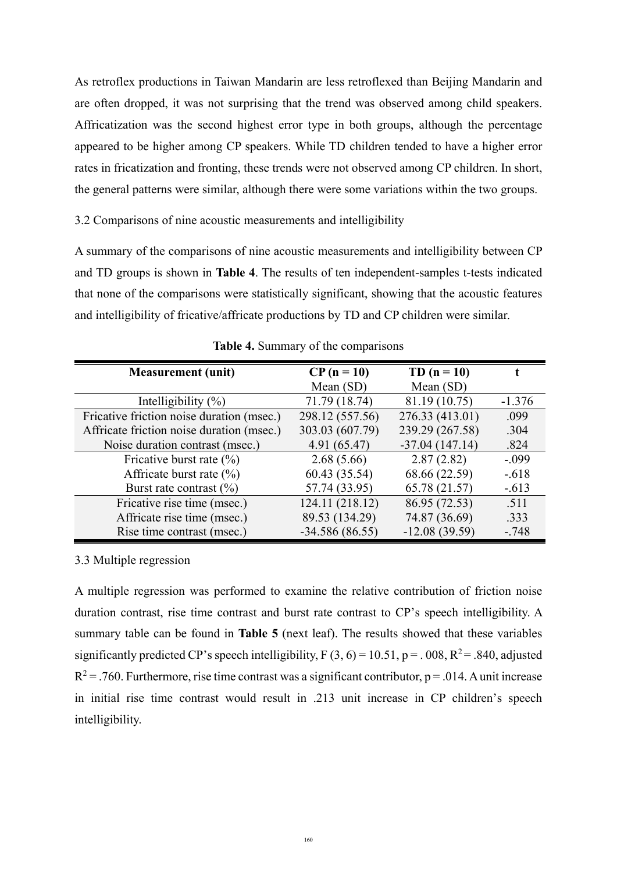As retroflex productions in Taiwan Mandarin are less retroflexed than Beijing Mandarin and are often dropped, it was not surprising that the trend was observed among child speakers. Affricatization was the second highest error type in both groups, although the percentage appeared to be higher among CP speakers. While TD children tended to have a higher error rates in fricatization and fronting, these trends were not observed among CP children. In short, the general patterns were similar, although there were some variations within the two groups.

3.2 Comparisons of nine acoustic measurements and intelligibility

A summary of the comparisons of nine acoustic measurements and intelligibility between CP and TD groups is shown in **Table 4**. The results of ten independent-samples t-tests indicated that none of the comparisons were statistically significant, showing that the acoustic features and intelligibility of fricative/affricate productions by TD and CP children were similar.

| <b>Measurement</b> (unit)                 | $CP (n = 10)$    | TD $(n = 10)$    |          |
|-------------------------------------------|------------------|------------------|----------|
|                                           | Mean $(SD)$      | Mean (SD)        |          |
| Intelligibility $(\%)$                    | 71.79 (18.74)    | 81.19 (10.75)    | $-1.376$ |
| Fricative friction noise duration (msec.) | 298.12 (557.56)  | 276.33 (413.01)  | .099     |
| Affricate friction noise duration (msec.) | 303.03 (607.79)  | 239.29 (267.58)  | .304     |
| Noise duration contrast (msec.)           | 4.91 (65.47)     | $-37.04(147.14)$ | .824     |
| Fricative burst rate $(\% )$              | 2.68(5.66)       | 2.87(2.82)       | $-.099$  |
| Affricate burst rate $(\% )$              | 60.43 (35.54)    | 68.66 (22.59)    | $-.618$  |
| Burst rate contrast $(\%)$                | 57.74 (33.95)    | 65.78 (21.57)    | $-.613$  |
| Fricative rise time (msec.)               | 124.11 (218.12)  | 86.95 (72.53)    | .511     |
| Affricate rise time (msec.)               | 89.53 (134.29)   | 74.87 (36.69)    | .333     |
| Rise time contrast (msec.)                | $-34.586(86.55)$ | $-12.08(39.59)$  | $-.748$  |

**Table 4.** Summary of the comparisons

3.3 Multiple regression

A multiple regression was performed to examine the relative contribution of friction noise duration contrast, rise time contrast and burst rate contrast to CP's speech intelligibility. A summary table can be found in **Table 5** (next leaf). The results showed that these variables significantly predicted CP's speech intelligibility,  $F(3, 6) = 10.51$ ,  $p = 0.08$ ,  $R^2 = 0.840$ , adjusted  $R^2$  = .760. Furthermore, rise time contrast was a significant contributor, p = .014. A unit increase in initial rise time contrast would result in .213 unit increase in CP children's speech intelligibility.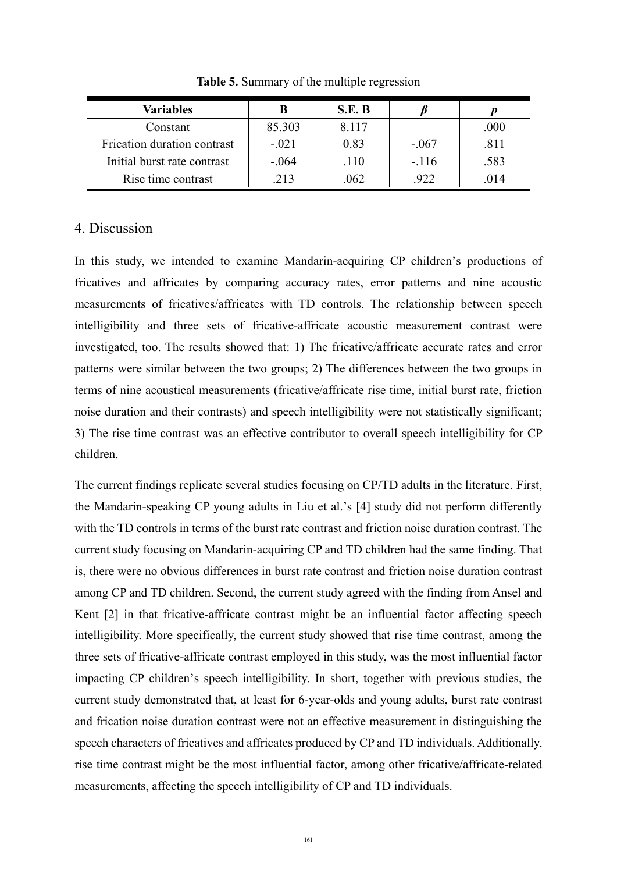| Variables                   |         | S.E. B |         |      |
|-----------------------------|---------|--------|---------|------|
| Constant                    | 85.303  | 8.117  |         | .000 |
| Frication duration contrast | $-.021$ | 0.83   | $-.067$ | .811 |
| Initial burst rate contrast | $-.064$ | .110   | $-.116$ | .583 |
| Rise time contrast          | .213    | .062   | 922     | .014 |

**Table 5.** Summary of the multiple regression

## 4. Discussion

In this study, we intended to examine Mandarin-acquiring CP children's productions of fricatives and affricates by comparing accuracy rates, error patterns and nine acoustic measurements of fricatives/affricates with TD controls. The relationship between speech intelligibility and three sets of fricative-affricate acoustic measurement contrast were investigated, too. The results showed that: 1) The fricative/affricate accurate rates and error patterns were similar between the two groups; 2) The differences between the two groups in terms of nine acoustical measurements (fricative/affricate rise time, initial burst rate, friction noise duration and their contrasts) and speech intelligibility were not statistically significant; 3) The rise time contrast was an effective contributor to overall speech intelligibility for CP children.

The current findings replicate several studies focusing on CP/TD adults in the literature. First, the Mandarin-speaking CP young adults in Liu et al.'s [4] study did not perform differently with the TD controls in terms of the burst rate contrast and friction noise duration contrast. The current study focusing on Mandarin-acquiring CP and TD children had the same finding. That is, there were no obvious differences in burst rate contrast and friction noise duration contrast among CP and TD children. Second, the current study agreed with the finding from Ansel and Kent [2] in that fricative-affricate contrast might be an influential factor affecting speech intelligibility. More specifically, the current study showed that rise time contrast, among the three sets of fricative-affricate contrast employed in this study, was the most influential factor impacting CP children's speech intelligibility. In short, together with previous studies, the current study demonstrated that, at least for 6-year-olds and young adults, burst rate contrast and frication noise duration contrast were not an effective measurement in distinguishing the speech characters of fricatives and affricates produced by CP and TD individuals. Additionally, rise time contrast might be the most influential factor, among other fricative/affricate-related measurements, affecting the speech intelligibility of CP and TD individuals.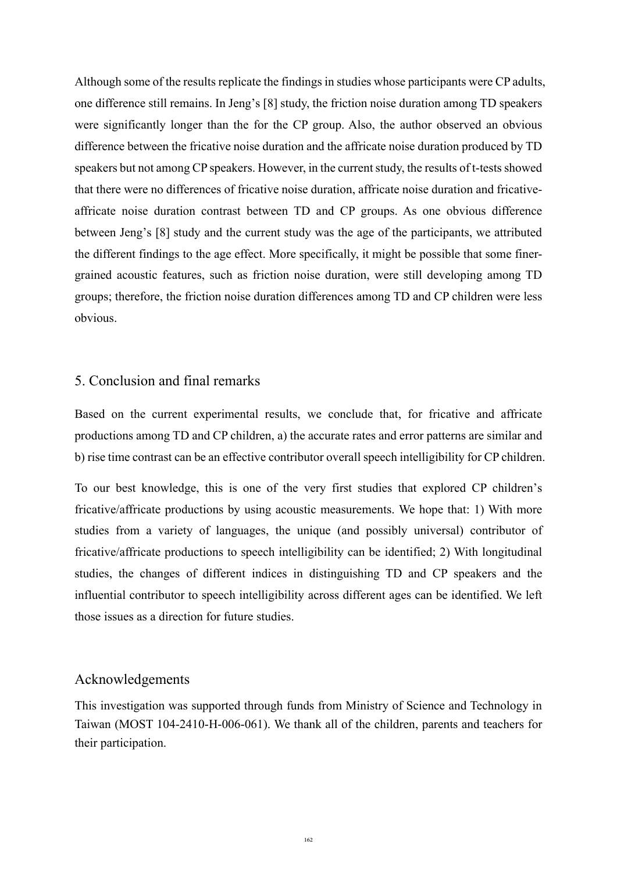Although some of the results replicate the findings in studies whose participants were CP adults, one difference still remains. In Jeng's [8] study, the friction noise duration among TD speakers were significantly longer than the for the CP group. Also, the author observed an obvious difference between the fricative noise duration and the affricate noise duration produced by TD speakers but not among CP speakers. However, in the current study, the results of t-tests showed that there were no differences of fricative noise duration, affricate noise duration and fricativeaffricate noise duration contrast between TD and CP groups. As one obvious difference between Jeng's [8] study and the current study was the age of the participants, we attributed the different findings to the age effect. More specifically, it might be possible that some finergrained acoustic features, such as friction noise duration, were still developing among TD groups; therefore, the friction noise duration differences among TD and CP children were less obvious.

## 5. Conclusion and final remarks

Based on the current experimental results, we conclude that, for fricative and affricate productions among TD and CP children, a) the accurate rates and error patterns are similar and b) rise time contrast can be an effective contributor overall speech intelligibility for CP children.

To our best knowledge, this is one of the very first studies that explored CP children's fricative/affricate productions by using acoustic measurements. We hope that: 1) With more studies from a variety of languages, the unique (and possibly universal) contributor of fricative/affricate productions to speech intelligibility can be identified; 2) With longitudinal studies, the changes of different indices in distinguishing TD and CP speakers and the influential contributor to speech intelligibility across different ages can be identified. We left those issues as a direction for future studies.

### Acknowledgements

This investigation was supported through funds from Ministry of Science and Technology in Taiwan (MOST 104-2410-H-006-061). We thank all of the children, parents and teachers for their participation.